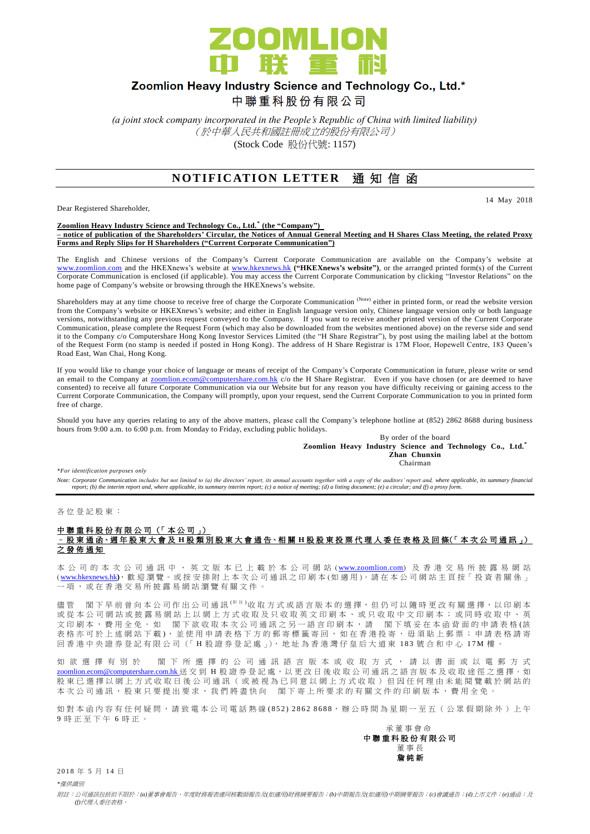

## Zoomlion Heavy Industry Science and Technology Co., Ltd.\*

中聯重科股份有限公司

*(a joint stock company incorporated in the People's Republic of China with limited liability)* (於中華人民共和國註冊成立的股份有限公司) (Stock Code 股份代號: 1157)

### **NOTIFICATION LETTER** 通知信函

Dear Registered Shareholder,

14 May 2018

**Zoomlion Heavy Industry Science and Technology Co., Ltd. \* (the "Company") – notice of publication of the Shareholders' Circular, the Notices of Annual General Meeting and H Shares Class Meeting, the related Proxy Forms and Reply Slips for H Shareholders ("Current Corporate Communication")**

The English and Chinese versions of the Company's Current Corporate Communication are available on the Company's website at [www.zoomlion.com](http://www.zoomlion.com/) and the HKEXnews's website at [www.hkexnews.hk](http://www.hkexnews.hk/) **("HKEXnews's website")**, or the arranged printed form(s) of the Current Corporate Communication is enclosed (if applicable). You may access the Current Corporate Communication by clicking "Investor Relations" on the home page of Company's website or browsing through the HKEXnews's website.

Shareholders may at any time choose to receive free of charge the Corporate Communication (Note) either in printed form, or read the website version from the Company's website or HKEXnews's website; and either in English language version only, Chinese language version only or both language versions, notwithstanding any previous request conveyed to the Company. If you want to receive another printed version of the Current Corporate Communication, please complete the Request Form (which may also be downloaded from the websites mentioned above) on the reverse side and send it to the Company c/o Computershare Hong Kong Investor Services Limited (the "H Share Registrar"), by post using the mailing label at the bottom of the Request Form (no stamp is needed if posted in Hong Kong). The address of H Share Registrar is 17M Floor, Hopewell Centre, 183 Queen's Road East, Wan Chai, Hong Kong.

If you would like to change your choice of language or means of receipt of the Company's Corporate Communication in future, please write or send an email to the Company at **zoomlion.ecom@computershare.com.hk** c/o the H Share Registrar. Even if you have chosen (or are deemed to have consented) to receive all future Corporate Communication via our Website but for any reason you have difficulty receiving or gaining access to the Current Corporate Communication, the Company will promptly, upon your request, send the Current Corporate Communication to you in printed form free of charge.

Should you have any queries relating to any of the above matters, please call the Company's telephone hotline at (852) 2862 8688 during business hours from 9:00 a.m. to 6:00 p.m. from Monday to Friday, excluding public holidays.

By order of the board **Zoomlion Heavy Industry Science and Technology Co., Ltd.\* Zhan Chunxin** Chairman

*\*For identification purposes only* 

Note: Corporate Communication includes but not limited to (a) the directors' report, its annual accounts together with a copy of the auditors' report and, where applicable, its summary financial<br>report; (b) the interim rep

各 位 登 記 股 東 :

#### 中聯重科股份有限公司 (「本公司」) – 股 東 通 函、週 年 股 東 大 會 及 **H** 股類別股東大會 通 告、相 關 **H** 股股東投票代理人委任表格及回條(「 本 次 公司通訊 」) 之發佈通知

本 公 司 的 本 次 公 司 通 訊 中 、 英 文 版 本 已 上 載 於 本 公 司 網 站 ( [www.zoomlion.com](http://www.zoomlion.com/)) 及 香 港 交 易 所 披 露 易 網 站 ( [www.hkexnews.hk](http://www.hkexnews.hk/)**)**, 歡 迎 瀏 覽 。或 按 安 排 附 上 本 次 公 司 通 訊 之印刷本 (如適用 )。 請 在 本 公 司 網 站 主 頁 按「 投 資 者 關 係 」 一項, 或 在 香 港 交 易 所 披 露 易 網 站 瀏 覽 有 關 文 件 。

儘管 閣下早前曾向本公司作出公司通訊<sup>(附註)</sup>收取方式或語言版本的選擇,但仍可以隨時更改有關選擇,以印刷本 或 從 本 公 司 網 站 或 披 露 易 網 站 上 以 網 上 方 式 收 取 及 只 收 取 英 文 印 刷 本 、 或 只 收 取 中 文 印 刷 本 ; 或 同 時 收 取 中 、 英 文印刷本,費用全免。 如 閣下欲收取本次公司通訊之另一語言印刷本,請 閣下填妥在本函背面的申請表格(該 表格亦可於上述網站下載), 並使用申請表格下方的郵寄標籤寄回, 如在香港投寄, 毋須貼上郵票; 申請表格請寄 回香港中央證券登記有限公司(「H股證券登記處」), 地址為香港灣仔皇后大道東 183號合和中心 17M 樓

如 欲 選 擇 有 別 於 閣 下 所 選 擇 的 公 司 通 訊 語 言 版 本 或 收 取 方 式 , 請 以 書 面 或 以 電 郵 方 式 [zoomlion.ecom@computershare.com.hk](mailto:zoomlion.ecom@computershare.com.hk) 送 交 到 H 股 證 券 登 記 處, 以 更 改 日 後 收 取 公 司 通 訊 之 語 言 版 本 及 收 取 途 徑 之 選 擇。 如 股 東 已 選 擇 以 網 上 方 式 收 取 日 後 公 司 通 訊 ( 或 被 視 為 已 同 意 以 網 上 方 式 收 取 ) 但 因 任 何 理 由 未 能 閲 覽 載 於 網 站 的 本次公司通訊,股東只要提出要求,我們將盡快向 閣下寄上所要求的有關文件的印刷版本,費用全免。

如對本函內容有任何疑問,請致電本公司電話熱線(852) 2862 8688,辦公時間為星期一至五(公眾假期除外)上午 9 時正至下午 6 時 正 。

#### 承董事會命 中 聯 重 科 股 份 有 限 公 司 董事長 詹 純 新

2018年5月14日

*\**僅供識別

附註:公司通訊包括但不限於:*(a)*董事會報告、年度財務報表連同核數師報告及*(*如適用*)*財務摘要報告;*(b)*中期報告及*(*如適用*)*中期摘要報告;*(c)*會議通告;*(d)*上市文件;*(e)*通函;及 *(f)*代理人委任表格。